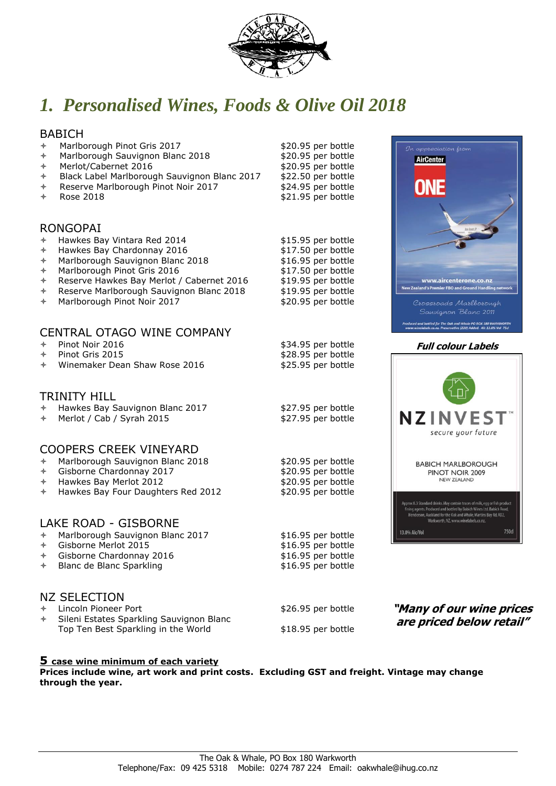

# *1. Personalised Wines, Foods & Olive Oil 2018*

## BABICH

- % Marlborough Pinot Gris 2017<br>
% Marlborough Sauvignon Blanc 2018 \$20.95 per bottle
- Marlborough Sauvignon Blanc 2018
- 
- A Merlot/Cabernet 2016<br>→ Black Label Marlborough Sauvignon Blanc 2017 \$22.50 per bottle → Black Label Marlborough Sauvignon Blanc 2017 \$22.50 per bottle<br>→ Reserve Marlborough Pinot Noir 2017 \$24.95 per bottle
- \* Reserve Marlborough Pinot Noir 2017
- \* Rose 2018 **\$21.95** per bottle

## RONGOPAI

- Hawkes Bay Vintara Red 2014 \$15.95 per bottle Hawkes Bay Chardonnay 2016 \$17.50 per bottle Marlborough Sauvignon Blanc 2018 \$16.95 per bottle Marlborough Pinot Gris 2016 \$17.50 per bottle<br>Reserve Hawkes Bay Merlot / Cabernet 2016 \$19.95 per bottle
- 
- Reserve Hawkes Bay Merlot / Cabernet 2016 \$19.95 per bottle
- Reserve Marlborough Sauvignon Blanc 2018 \$19.95 per bottle<br>Marlborough Pinot Noir 2017 \$20.95 per bottle
- Marlborough Pinot Noir 2017

## CENTRAL OTAGO WINE COMPANY

| Pinot Noir 2016<br>✦ |  |
|----------------------|--|
|----------------------|--|

- Pinot Noir 2016 **by Executive Contract Authorities**<br>Pinot Gris 2015 **by Executive Contract Authorities**<br>\$28.95 per bottle
- Winemaker Dean Shaw Rose 2016

#### TRINITY HILL

| ← Hawkes Bay Sauvignon Blanc 2017 | \$27.95 per bottle |
|-----------------------------------|--------------------|
| $\div$ Merlot / Cab / Syrah 2015  | \$27.95 per bottle |

### COOPERS CREEK VINEYARD

| $\div$ Marlborough Sauvignon Blanc 2018   | \$20.95 per bottle |
|-------------------------------------------|--------------------|
| $\div$ Gisborne Chardonnay 2017           | \$20.95 per bottle |
| $\div$ Hawkes Bay Merlot 2012             | \$20.95 per bottle |
| $\div$ Hawkes Bay Four Daughters Red 2012 | \$20.95 per bottle |

#### LAKE ROAD - GISBORNE

- % Marlborough Sauvignon Blanc 2017 <br>
\$16.95 per bottle \$16.95 per bottle
- % Gisborne Merlot 2015<br>
\$16.95 per bottle \$16.95 per bottle<br>
\$16.95 per bottle
- $\div$  Gisborne Chardonnay 2016
- \* Blanc de Blanc Sparkling but and the state state state state state state state state state state state state state state state state state state state state state state state state state state state state state state sta

## NZ SELECTION

- ↑ Lincoln Pioneer Port 326.95 per bottle
- Sileni Estates Sparkling Sauvignon Blanc Top Ten Best Sparkling in the World \$18.95 per bottle

### **5 case wine minimum of each variety**

**Prices include wine, art work and print costs. Excluding GST and freight. Vintage may change through the year.** 



#### **Full colour Labels**





\$28.95 per bottle<br>\$25.95 per bottle

**"Many of our wine prices are priced below retail"**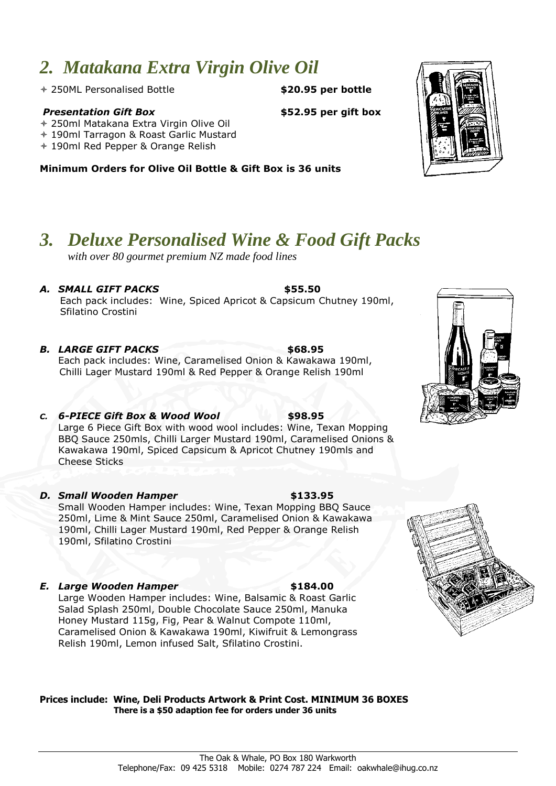# *2. Matakana Extra Virgin Olive Oil*

250ML Personalised Bottle **\$20.95 per bottle**

#### *Presentation Gift Box* **\$52.95 per gift box**

- 250ml Matakana Extra Virgin Olive Oil
- 190ml Tarragon & Roast Garlic Mustard
- 190ml Red Pepper & Orange Relish

**Minimum Orders for Olive Oil Bottle & Gift Box is 36 units**

# *3. Deluxe Personalised Wine & Food Gift Packs*

*with over 80 gourmet premium NZ made food lines*

*A. SMALL GIFT PACKS* **\$55.50** Each pack includes: Wine, Spiced Apricot & Capsicum Chutney 190ml, Sfilatino Crostini

- *B. LARGE GIFT PACKS* **\$68.95** Each pack includes: Wine, Caramelised Onion & Kawakawa 190ml, Chilli Lager Mustard 190ml & Red Pepper & Orange Relish 190ml
- *C. 6-PIECE Gift Box & Wood Wool* **\$98.95** Large 6 Piece Gift Box with wood wool includes: Wine, Texan Mopping BBQ Sauce 250mls, Chilli Larger Mustard 190ml, Caramelised Onions & Kawakawa 190ml, Spiced Capsicum & Apricot Chutney 190mls and Cheese Sticks
- *D. Small Wooden Hamper* **\$133.95** Small Wooden Hamper includes: Wine, Texan Mopping BBQ Sauce 250ml, Lime & Mint Sauce 250ml, Caramelised Onion & Kawakawa 190ml, Chilli Lager Mustard 190ml, Red Pepper & Orange Relish 190ml, Sfilatino Crostini
- *E. Large Wooden Hamper* **\$184.00** Large Wooden Hamper includes: Wine, Balsamic & Roast Garlic Salad Splash 250ml, Double Chocolate Sauce 250ml, Manuka Honey Mustard 115g, Fig, Pear & Walnut Compote 110ml, Caramelised Onion & Kawakawa 190ml, Kiwifruit & Lemongrass Relish 190ml, Lemon infused Salt, Sfilatino Crostini.

**Prices include: Wine, Deli Products Artwork & Print Cost. MINIMUM 36 BOXES There is a \$50 adaption fee for orders under 36 units**